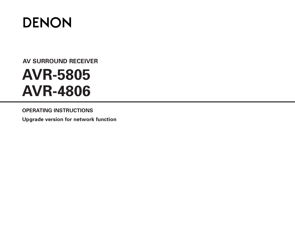

# **AV SURROUND RECEIVER AVR-5805 AVR-4806**

**OPERATING INSTRUCTIONS**

**Upgrade version for network function**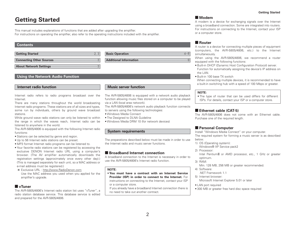## **Getting Started**

This manual includes explanations of functions that are added after upgrading the amplifier. For instructions on operating the amplifier, also refer to the operating instructions included with the amplifier.

#### **Contents**

| Getting Started <b>Constitution of the Started</b> Constant Constant Constant Constant Constant Constant Constant Constant Constant Constant Constant Constant Constant Constant Constant Constant Constant Constant Constant Const | <b>Basic Operation Example 20</b> 28 |
|-------------------------------------------------------------------------------------------------------------------------------------------------------------------------------------------------------------------------------------|--------------------------------------|
|                                                                                                                                                                                                                                     |                                      |
|                                                                                                                                                                                                                                     |                                      |

### **Using the Network Audio Function**

#### **Internet radio function**

Internet radio refers to radio programs broadcast over the Internet.

There are many stations throughout the world broadcasting Internet radio programs. These stations are of all sizes and types, some run by individuals, others by ground wave broadcast stations.

While ground wave radio stations can only be listened to within the range in which the waves reach, Internet radio can be listened to anywhere in the world.

The AVR-5805/4806 is equipped with the following Internet radio functions:

- Stations can be selected by genre and region.
- Up to 56 Internet radio stations can be preset.
- MP3 format Internet radio programs can be listened to.
- Your favorite radio stations can be registered by accessing the exclusive DENON Internet radio URL using a computer's browser. (The AV amplifier automatically downloads the registration settings (approximately once every other day).) (This is managed separately for each unit, so a MAC address or e-mail address must be registered.)
- Exclusive URL : http://www.RadioDenon.com

Use the MAC address you used when you applied for the amplifier's upgrade.

#### 2 **vTuner**

The AVR-5805/4806's Internet radio station list uses "vTuner", a radio station database service. This database service is editedand prepared for the AVR-5805/4806.

### **Music server function**

The AVR-5805/4806 is equipped with a network audio playback function allowing music files stored on a computer to be played via a LAN (local area network).

The AVR-5805/4806's network audio playback function connects

- to servers using the following technologies:
- Windows Media Connect
- The Designed to DLNA Guideline
- Windows Media DRM 10 (for network devices)

#### **System requirements**

The preparations described below must be made in order to use the Internet radio and music server functions.

### **E** Broadband Internet connection

A broadband connection to the Internet is necessary in order to use the AVR-5805/4806's Internet radio function.

#### **NOTE:**

• **You must have a contract with an Internet ServiceProvider (ISP) in order to connect to the Internet.** For instructions on connecting to the Internet, contact your ISP or a computer store.

If you already have a broadband Internet connection there is no need to take out another contract.

#### 2 **Modem**

A modem is a device for exchanging signals over the Internet using a broadband connection. Some are integrated into routers. For instructions on connecting to the Internet, contact your ISP or a computer store.

### $\blacksquare$  Router

A router is a device for connecting multiple pieces of equipment (computers, the AVR-5805/4806, etc.) to the Internet simultaneously.

When using the AVR-5805/4806, we recommend a router equipped with the following functions:

- Built-in DHCP (Dynamic Host Configuration Protocol) server. Function for automatically assigning the device's IP address on the LAN.
- Built-in 100 base TX switch

When connecting multiple devices, it is recommended to have a built-in switching hub with a speed of 100 Mbps or greater.

#### **NOTE:**

• The type of router that can be used differs for different ISPs. For details, contact your ISP or a computer store.

## **Ethernet cable (CAT-5)**

The AVR-5805/4806 does not come with an Ethernet cable. Purchase one of the required length.

### 2 **Personal Computer**

Install "Windows Media Connect" on your computer. The required system for forming a music server is as described below.

- 1) OS (Operating system):
	- Windows® XP Service pack2
- 2) Processor:

Intel PentiumII or AMD processor, etc., 1 GHz or greater optimum.

- 3) RAM:
- Min. 128 MB, 256 MB or greater recommended.
- 4) Software:
- .NET Framework 1.1
- 5) Internet browser:
	- Microsoft Internet Explorer 5.01 or later
- LAN port required
- 300 MB or greater free hard disc space required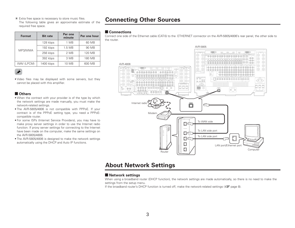Extra free space is necessary to store music files. The following table gives an approximate estimate of the required free space.

| <b>Format</b> | <b>Bit rate</b> | Per one<br>minute | Per one hour |
|---------------|-----------------|-------------------|--------------|
| MP3/WMA       | 128 kbps        | 1 MB              | 60 MB        |
|               | 192 kbps        | 1.5MB             | 90 MB        |
|               | 256 kbps        | 2 MB              | 120 MB       |
|               | 392 kbps        | 3 MB              | 180 MB       |
| WAV (LPCM)    | 1400 kbps       | 10 MB             | 600 MB       |

 $\bigtriangledown$ 

• Video files may be displayed with some servers, but they cannot be placed with this amplifier.

#### ■ Others

- When the contract with your provider is of the type by which the network settings are made manually, you must make the network-related settings.
- The AVR-5805/4806 is not compatible with PPPoE. If your contract is of the PPPoE setting type, you need a PPPoEcompatible router.
- For some ISPs (Internet Service Providers), you may have to make proxy server settings in order to use the Internet radio function. If proxy server settings for connecting to the Internet have been made on the computer, make the same settings on the AVR-5805/4806.
- The AVR-5805/4806 is designed to make the network settings automatically using the DHCP and Auto IP functions.

## **Connecting Other Sources**

#### 2 **Connections**

Connect one side of the Ethernet cable (CAT-5) to the ETHERNET connector on the AVR-5805/4806's rear panel, the other side to the router.



## **About Network Settings**

### 2 **Network settings**

When using a broadband router (DHCP function), the network settings are made automatically, so there is no need to make the settings from the setup menu.

If the broadband router's DHCP function is turned off, make the network-related settings ( $\mathbb{Z}$  page 8).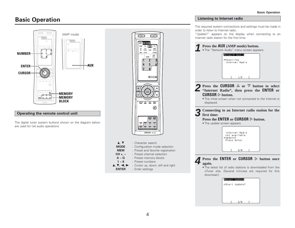## **Basic Operation**



The digital tuner system buttons shown on the diagram below are used for net audio operations.



#### **Listening to Internet radio**

The required system connections and settings must be made in order to listen to Internet radio.

"Update?" appears on the display when connecting to an Internet radio station for the first time.



**GStart** Update?

 $2/8$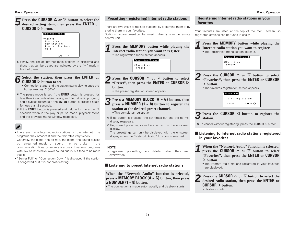## **Figure 2** Press the CURSOR  $\triangle$  or  $\nabla$  button to select the **desired setting item, then press the <b>ENTER** or  $\textbf{CURSOR} \vartriangleright \text{button}.$



Finally, the list of Internet radio stations is displayed and those that can be played are indicated by the "∗" mark in front of them.

## **6 CURSOR**  $\triangleright$  **button to set. CURSOR**  $\triangleright$  **button to set.**  $R \triangleright$  button to set.

- Connection starts, and the station starts playing once the buffer reaches "100%".
- The pause mode is set if the **ENTER** button is pressed for less than 2 seconds while playing an Internet radio program, and playback resumes if the **ENTER** button is pressed again for less than 2 seconds.
- If the **ENTER** button is pressed and held in for more than 2 seconds when in the play or pause mode, playback stops and the previous menu window reappears.

## $\mathscr{Q}$

- There are many Internet radio stations on the Internet. The programs they broadcast and their bit rates vary widely. Generally, the higher the bit rate, the higher the sound quality, but streamed music or sound may be broken if the communication lines or servers are busy. Inversely, programs with low bit rates have lower sound quality but tend to be more stable.
- "Server Full" or "Connection Down" is displayed if the station is congested or if it is not broadcasting.

## There are two ways to register stations: by presetting them or by storing them in your favorites. Stations that are preset can be tuned in directly from the remote control unit. **Press the MEMORY button while playing the Internet radio station you want to register.** • The registration menu screen appears. Favorites/Preset **FFavorites** Preset

**Presetting (registering) Internet radio stations**

**2 Press the CURSOR**  $\triangle$  or  $\nabla$  **button to select "Preset", then press the <b>ENTER** or **CURSOR**  $\triangleright$ 

**1**

- The preset registration screen appears.
- **3** Press a MEMORY BLOCK (A ~ G) button, then press a **NUMBER** (1 ~ 8) button to register the **station at the desired preset channel.**
- This completes registration.
- If no button is pressed, the set times out and the normal display reappears.
- Registered presettings can be checked on the on-screen display.

The presettings can only be displayed with the on-screen display when the "Network Audio" function is selected.

#### **NOTE:**

• Registered presettings are deleted when they are overwritten.

## $\blacksquare$  Listening to preset Internet radio stations

**When the "Network Audio" function is selected, press a MEMORY BLOCK (A ~ G) button, then press <sup>a</sup>NUMBER (1 ~ 8) button.**

• The connection is made automatically and playback starts.

### **Registering Internet radio stations in your favorites**

Your favorites are listed at the top of the menu screen, so registered stations can be tuned in easily.



• Playback starts.

**button.**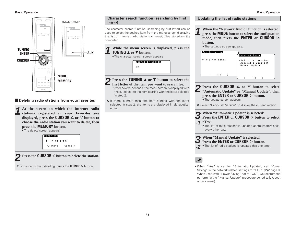#### **Basic Operation Basic Operation**



## $\blacksquare$  Deleting radio stations from your favorites

At the screen on which the Internet radio **At the screen on which the Internet radio stations registered in your favorites are displayed, press the CURSOR**  $\triangle$  or  $\nabla$  button to **choose the radio station you want to delete, then press the MEMORY button.**







To cancel without deleting, press the CURSOR  $\triangleright$  button.

**Character search function (searching by first letter)**

The character search function (searching by first letter) can be used to select the desired item from the menu screen displaying the list of Internet radio stations or music files stored on thecomputer.

| While the menu screen is displayed, press the<br><i>I</i> TUNING <b>A</b> or <b>▼</b> button.<br>• The character search screen appears. |                               |  |  |
|-----------------------------------------------------------------------------------------------------------------------------------------|-------------------------------|--|--|
|                                                                                                                                         | Character Search<br><b>GA</b> |  |  |

### **2Press the <b>TUNING**  $\triangle$  or  $\nabla$  button to select the first letter of the item you want to search for.

- After several seconds, the menu screen is displayed with the cursor set to the item starting with the letter selected in step 2.
- $*$  If there is more than one item starting with the letter selected in step 2, the items are displayed in alphabetical order.

#### **Updating the list of radio stations**

- **1 When the "Network Audio" function is selected, press the MODE button to select the configuation** mode, then press the **ENTER** or **CURSOR**  $\triangleright$ **button.**
	- The settings screen appears.



- **2 Press the CURSOR**  $\triangle$  or  $\nabla$  button to select **"Automatic Update"** or **"Manual Update"**, then **press the ENTER** or **CURSOR**  $\triangleright$  button. • The update screen appears.
- Select "Radio List Version" to display the current version.
- **3** When "Automatic Update" is selected:<br>**3** Press the **ENTER** or **CURSOR**  $\triangleright$  buttor

**-1"Yes". Press the <code>ENTER</code> or <code>CURSOR</code>**  $\triangleright$  **button to select** 

• The list of radio stations is updated approximately once every other day.

### **3** When "Manual Update" is selected:<br>**3** Press the **ENTER** or **CURSOR**  $\triangleright$  but **Press the <code>ENTER</code> or <code>CURSOR</code>**  $\triangleright$  **button.**

**-2**• The list of radio stations is updated this one time.

• When "Yes" is set for "Automatic Update", set "Power Saving" in the network-related settings to "OFF". ( $\sqrt{p}$  page 8) When used with "Power Saving" set to "ON", we recommend performing the "Manual Update" procedure periodically (about once a week).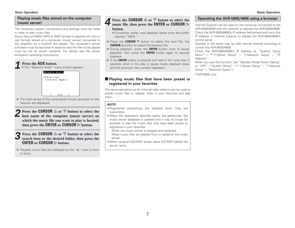#### **Basic Operation Basic Operation**

#### **Playing music files stored on the computer (music server)**

The necessary system connections and settings must be made in order to play music files.

Music files (of WMA, MP3 or WAV format) or playlists (of m3u or wpl format) stored on a computer (music server) connected to the amplifier via a network are played. The computer's server software must be launched in advance and the files to be played must be set as server contents. For details see the server software's operating instructions.

## **1**

**Press the AUX button.**<br>• The "Network Audio" menu screen appears.



The host names of the computer(s) (music server(s)) on the network are displayed.

**2 Press the CURSOR**  $\triangle$  or  $\nabla$  **button to select the host name of the computer** (music server) on **which the music file you want to play is located, then press the ENTER or CURSOR**  $\triangleright$  button.

**3 Press the CURSOR**  $\triangle$  or  $\nabla$  button to select the search item or the desired folder, then press the  $\tt ENTER$  or  $\tt CURSOR$   $\triangleright$  button.

Playable music files are indicated by the "∗" mark in front of them.

## **Press the CURSOR**  $\triangle$  or  $\nabla$  button to select the **Quality Operating the AVR-5805/4806 using a browser Press the ENTER** or **CURSOR**  $\triangleright$ **button.**

- Connection starts, and playback starts once the buffer reaches "100%".
- Press the <code>CURSOR</code>  $\triangledown$  button to select the next file, the  $CURSOR$   $\Delta$  button to select the previous file.
- During playback, press the **ENTER** button once to pause playback, then press the **ENTER** button again to resume playback.
- If the **ENTER** button is pressed and held in for more than 2 seconds when in the play or pause mode, playback stops and the previous menu screen reappears.

### $\blacksquare$  **Playing music files that have been preset or registered in your favorites**

The same operations as for Internet radio stations can be used to preset music files or register them in your favorites and play them.

#### **NOTE:**

- Registered presettings are deleted when they are overwritten.
- When the operations describe below are performed, the music server database is updated and it may no longer be possible to play the music files that have been preset or registered in your favorites.

When the music server is stopped and restarted When music files are deleted from or added to the musicserver

• When using an ESCIENT server, place ESCIENT before the server name.

Internet Explorer can be used on the computer connected to the AVR-5805/4806 over the network to operate the AVR-5805/4806. Check the AVR-5805/4806's IP address beforehand and input this IP address in Internet Explorer to display the AVR-5805/4806's control panel.

Operate in the same way as with normal Internet browsing to control the AVR-5805/4806.

Check the AVR-5805/4806's IP address at: "System Setup Menu" – \*"7.Option Setup" – "7.Network Setup" – "IP Address".

When you use this function, set "Standby Mode Power Saving" to "OFF". ("System Setup" – \*"7.Option Setup" – "7.Network Setup" – "Network Option").

\*AVR-5805 only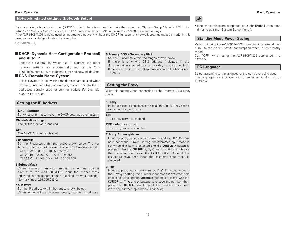#### **Network-related settings (Network Setup)**

If you are using a broadband router (DHCP function), there is no need to make the settings at "System Setup Menu" - \*"7.Option Setup" - "7.Network Setup", since the DHCP function is set to "ON" in the AVR-5805/4806's default settings.

If the AVR-5805/4806 is being used connected to a network without the DHCP function, the network settings must be made. In this case, some knowledge of networks is required.

#### \*AVR-5805 only

### $\blacksquare$  **DHCP (Dynamic Host Configuration Protocol) and Auto IP**

These are systems by which the IP address and other network settings are automatically set for the AVR-5805/4806, computer, broadband router and network devices.

#### $\blacksquare$  **DNS (Domain Name System)**

This is a system for converting the domain names used when browsing Internet sites (for example, "www.jp") into the IP addresses actually used for communications (for example, "202.221.192.106").

#### **Setting the IP Address**

#### **1.DHCP Settings**

Set whether or not to make the DHCP settings automatically.

#### **ON (default settings):**

The DHCP function is enabled.

#### **OFF:**

The DHCP function is disabled.

#### **2.IP Address**

Set the IP address within the ranges shown below. The Net Audio function cannot be used if other IP addresses are set.CLASS A:  $10.0.0.0 \approx 10.255.255.255$ CLASS B: 172.16.0.0 ~ 172.31.255.255CLASS C: 192.168.0.0 ~ 192.168.255.255

#### **3.Subnet Mask**

When connecting an xDSL modem or terminal adapter directly to the AVR-5805/4806, input the subnet mask indicated in the documentation supplied by your provider. Normally input 255.255.255.0.

#### **4.Gateway**

Set the IP address within the ranges shown below. When connected to a gateway (router), input its IP address.

#### **5.Primary DNS / Secondary DNS**

Set the IP address within the ranges shown below.

If there is only one DNS address indicated in the documentation supplied by your provider, input it at "e. 1st". If there are two or more DNS addresses, input the first one at "f. 2nd".

#### **Setting the Proxy**

Make this setting when connecting to the Internet via a proxy server.

#### **1.Proxy:**

In some cases it is necessary to pass through a proxy server to connect to the Internet.

#### **ON:**

The proxy server is enabled.

#### **OFF (default settings):**

The proxy server is disabled.

#### **2.Proxy Address/Name**

Input the proxy server domain name or address. If "ON" has been set at the "Proxy" setting, the character input mode is set when this item is selected and the CURSOR  $\triangleright$  button is pressed. Use the **CURSOR**  $\triangle$ ,  $\nabla$ ,  $\triangleleft$  and  $\triangleright$  buttons to choose the character, then press the **ENTER** button. Once all the characters have been input, the character input mode is canceled.

#### **3.Port**

Input the proxy server port number. If "ON" has been set at the "Proxy" setting, the number input mode is set when this item is selected and the **CURSOR**  $\triangleright$  button is pressed. Use the **CURSOR**  $\Delta$ ,  $\nabla$ ,  $\triangleleft$  and  $\triangleright$  buttons to choose the number, then press the **ENTER** button. Once all the numbers have been input, the number input mode is canceled.

## $\bigtriangledown$

• Once the settings are completed, press the **ENTER** button three times to quit the "System Setup Menu".

#### **Standby Mode Power Saving**

When not using the AVR-5805/4806 connected in a network, set "ON" to reduce the power consumption when in the standby mode.

Set "OFF" when using the AVR-5805/4806 connected in a network.

#### **PC Language**

Select according to the language of the computer being used. The languages are indicated with three letters conforming to ISO639-2.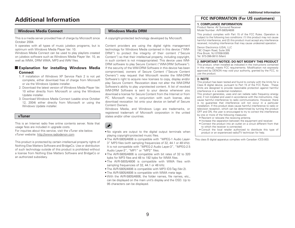## **Additional Information**

#### **Windows Media Connect**

This is a media server provided free of charge by Microsoft since October 2004.

It operates with all types of music jukebox programs, but is optimum with Windows Media Player Ver. 10.

Windows Media Connect can be used to play playlists created on jukebox software such as Windows Media Player Ver. 10, as well as WMA, DRM WMA, MP3 and WAV files.

#### 2 **Explanation for installing Windows Media Connect**

- 1. If installation of Windows XP Service Pack 2 is not yet complete, either download free of charge from Microsoft or via the Windows Update installer.
- 2. Download the latest version of Windows Media Player Ver. 10 either directly from Microsoft or using the Windows Update installer.
- 3. Download Windows Media Connect (usable since October 12, 2004) either directly from Microsoft or using the Windows Update installer.

#### **vTuner**

This is an Internet radio free online contents server. Note thatusage fess are included in upgrade costs.

For inquiries about this service, visit the vTuner site below. vTuner website: http://www.radiodenon.com

This product is protected by certain intellectual property rights of Nothing Else Matters Software and BridgeCo. Use or distribution of such technology outside of this product is prohibited without a license from Nothing Else Matters Software and BridgeCo or an authorized subsidiary.

## **Windows Media DRM**

A copyright-protected technology developed by Microsoft.

Content providers are using the digital rights management technology for Windows Media contained in this device ("WM-DRM") to protect the integrity of their content ("Secure Content") so that their intellectual property, including copyright, in such content is not misappropriated. This device uses WM-DRM software to play Secure Content ("WM-DRM Software"). If the security of the WM-DRM Software in this device has been compromised, owners of Secure Content ("Secure Content Owners") way request that Microsoft revoke the WM-DRM Software's right to acquire new licenses to copy, display and/or play Secure Content. Revocation does not alter the WM-DRM Software's ability to play unprotected content. A list of revoked WM-DRM Software is sent to your device whenever you download a license for Secure Content from the Internet or fromPC. Microsoft may, in conjunction with such license, also download revocation list onto your device on behalf of Secure Content Owners.

Windows Media, and Windows Logo are trademarks, or registered trademark of Microsoft corporation in the united states and/or other countries.

- No signals are output to the digital output terminals when playing copyright-protected music files.
- The AVR-5805/4806 is compatible with "MPEG-1 Audio Layer-3" MP3 files (with sampling frequencies of 32, 44.1 or 48 kHz). It is not compatible with "MPEG-2 Audio Layer-3", "MPEG-2.5 Audio Layer-3", "MP1" or "MP2" files.
- The AVR-5805/4806 is compatible with bit rates of 32 to 320 kpbs for MP3 files and 48 to 192 kpbs for WMA files.
- The AVR-5805/4806 is compatible with WMA files with sampling frequencies of 32, 44.1 or 48 kHz.
- The AVR-5805/4806 is compatible with MP3 ID3-Tag (Ver.2).
- The AVR-5805/4806 is compatible with WMA meta tags.
- With the AVR-5805/4806, the folder names, file names, etc., can be displayed on the main unit's display and the OSD. Up to 95 characters can be displayed.

#### **FCC INFORMATION (For US customers)**

#### **1. COMPLIANCE INFORMATION**

 Product Name: AV Surround ReceiverModel Number: AVR-5805/4806

This product complies with Part 15 of the FCC Rules. Operation is subject to the following two conditions: (1) this product may not cause harmful interference, and (2) this product must accept any interference received, including interference that may cause undesired operation.

Denon Electronics (USA), LLC 19C Chapin Road, Suite 205 Pine Brook, NJ 07058-9385 Tel. 973-396-0810 (Main)

#### **2. IMPORTANT NOTICE: DO NOT MODIFY THIS PRODUCT**

This product, when installed as indicated in the instructions contained in this manual, meets FCC requirements. Modification not expressly approved by DENON may void your authority, granted by the FCC, to use the product.

#### **3. NOTE**

 This product has been tested and found to comply with the limits for a Class B digital device, pursuant to Part 15 of the FCC Rules. These limits are designed to provide reasonable protection against harmful interference in a residential installation.

This product generates, uses and can radiate radio frequency energy and, if not installed and used in accordance with the instructions, may cause harmful interference to radio communications. However, there is no guarantee that interference will not occur in a particular installation. If this product does cause harmful interference to radio or television reception, which can be determined by turning the product OFF and ON, the user is encouraged to try to correct the interference by one or more of the following measures:

- Reorient or relocate the receiving antenna.
- Increase the separation between the equipment and receiver.
- Connect the product into an outlet on a circuit different from that to which the receiver is connected.
- Consult the local retailer authorized to distribute this type of product or an experienced radio/TV technician for help.

This class B digital apparatus complies with Canadian ICES-003.